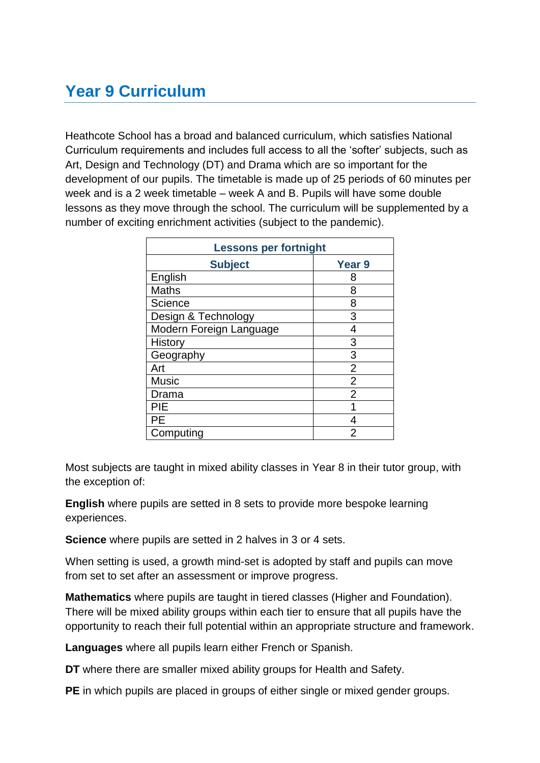# **Year 9 Curriculum**

Heathcote School has a broad and balanced curriculum, which satisfies National Curriculum requirements and includes full access to all the 'softer' subjects, such as Art, Design and Technology (DT) and Drama which are so important for the development of our pupils. The timetable is made up of 25 periods of 60 minutes per week and is a 2 week timetable – week A and B. Pupils will have some double lessons as they move through the school. The curriculum will be supplemented by a number of exciting enrichment activities (subject to the pandemic).

| <b>Lessons per fortnight</b> |                   |
|------------------------------|-------------------|
| <b>Subject</b>               | Year <sub>9</sub> |
| English                      | 8                 |
| <b>Maths</b>                 | 8                 |
| Science                      | 8                 |
| Design & Technology          | 3                 |
| Modern Foreign Language      | 4                 |
| <b>History</b>               | 3                 |
| Geography                    | 3                 |
| Art                          | $\overline{2}$    |
| <b>Music</b>                 | $\overline{2}$    |
| Drama                        | $\overline{2}$    |
| PIE                          |                   |
| PE                           | 4                 |
| Computing                    | 2                 |

Most subjects are taught in mixed ability classes in Year 8 in their tutor group, with the exception of:

**English** where pupils are setted in 8 sets to provide more bespoke learning experiences.

**Science** where pupils are setted in 2 halves in 3 or 4 sets.

When setting is used, a growth mind-set is adopted by staff and pupils can move from set to set after an assessment or improve progress.

**Mathematics** where pupils are taught in tiered classes (Higher and Foundation). There will be mixed ability groups within each tier to ensure that all pupils have the opportunity to reach their full potential within an appropriate structure and framework.

**Languages** where all pupils learn either French or Spanish.

**DT** where there are smaller mixed ability groups for Health and Safety.

**PE** in which pupils are placed in groups of either single or mixed gender groups.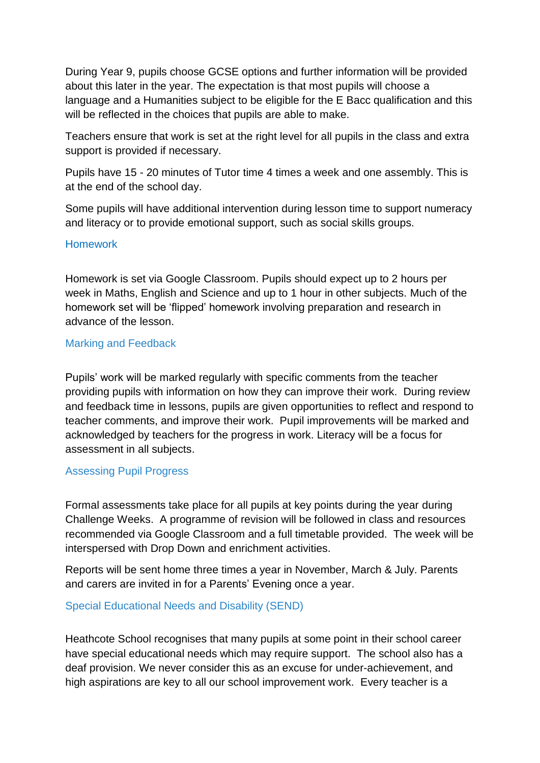During Year 9, pupils choose GCSE options and further information will be provided about this later in the year. The expectation is that most pupils will choose a language and a Humanities subject to be eligible for the E Bacc qualification and this will be reflected in the choices that pupils are able to make.

Teachers ensure that work is set at the right level for all pupils in the class and extra support is provided if necessary.

Pupils have 15 - 20 minutes of Tutor time 4 times a week and one assembly. This is at the end of the school day.

Some pupils will have additional intervention during lesson time to support numeracy and literacy or to provide emotional support, such as social skills groups.

#### Homework

Homework is set via Google Classroom. Pupils should expect up to 2 hours per week in Maths, English and Science and up to 1 hour in other subjects. Much of the homework set will be 'flipped' homework involving preparation and research in advance of the lesson.

#### Marking and Feedback

Pupils' work will be marked regularly with specific comments from the teacher providing pupils with information on how they can improve their work. During review and feedback time in lessons, pupils are given opportunities to reflect and respond to teacher comments, and improve their work. Pupil improvements will be marked and acknowledged by teachers for the progress in work. Literacy will be a focus for assessment in all subjects.

## Assessing Pupil Progress

Formal assessments take place for all pupils at key points during the year during Challenge Weeks. A programme of revision will be followed in class and resources recommended via Google Classroom and a full timetable provided. The week will be interspersed with Drop Down and enrichment activities.

Reports will be sent home three times a year in November, March & July. Parents and carers are invited in for a Parents' Evening once a year.

#### Special Educational Needs and Disability (SEND)

Heathcote School recognises that many pupils at some point in their school career have special educational needs which may require support. The school also has a deaf provision. We never consider this as an excuse for under-achievement, and high aspirations are key to all our school improvement work. Every teacher is a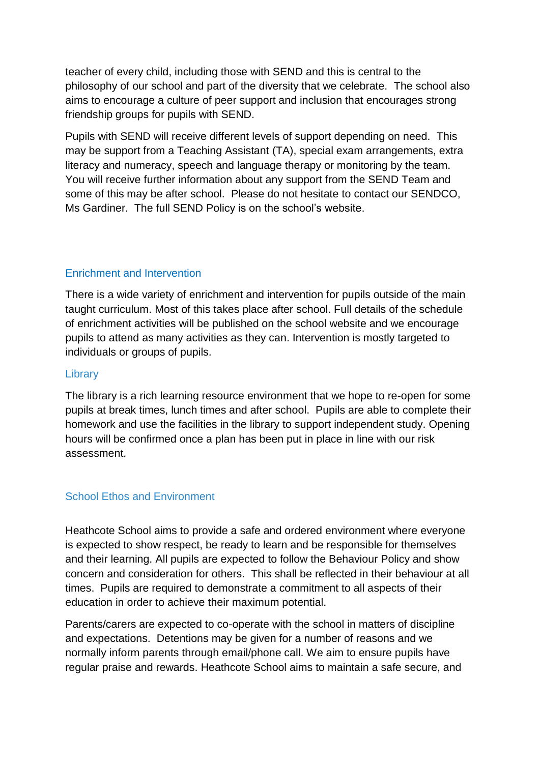teacher of every child, including those with SEND and this is central to the philosophy of our school and part of the diversity that we celebrate. The school also aims to encourage a culture of peer support and inclusion that encourages strong friendship groups for pupils with SEND.

Pupils with SEND will receive different levels of support depending on need. This may be support from a Teaching Assistant (TA), special exam arrangements, extra literacy and numeracy, speech and language therapy or monitoring by the team. You will receive further information about any support from the SEND Team and some of this may be after school. Please do not hesitate to contact our SENDCO, Ms Gardiner. The full SEND Policy is on the school's website.

# Enrichment and Intervention

There is a wide variety of enrichment and intervention for pupils outside of the main taught curriculum. Most of this takes place after school. Full details of the schedule of enrichment activities will be published on the school website and we encourage pupils to attend as many activities as they can. Intervention is mostly targeted to individuals or groups of pupils.

#### **Library**

The library is a rich learning resource environment that we hope to re-open for some pupils at break times, lunch times and after school. Pupils are able to complete their homework and use the facilities in the library to support independent study. Opening hours will be confirmed once a plan has been put in place in line with our risk assessment.

## School Ethos and Environment

Heathcote School aims to provide a safe and ordered environment where everyone is expected to show respect, be ready to learn and be responsible for themselves and their learning. All pupils are expected to follow the Behaviour Policy and show concern and consideration for others. This shall be reflected in their behaviour at all times. Pupils are required to demonstrate a commitment to all aspects of their education in order to achieve their maximum potential.

Parents/carers are expected to co-operate with the school in matters of discipline and expectations. Detentions may be given for a number of reasons and we normally inform parents through email/phone call. We aim to ensure pupils have regular praise and rewards. Heathcote School aims to maintain a safe secure, and